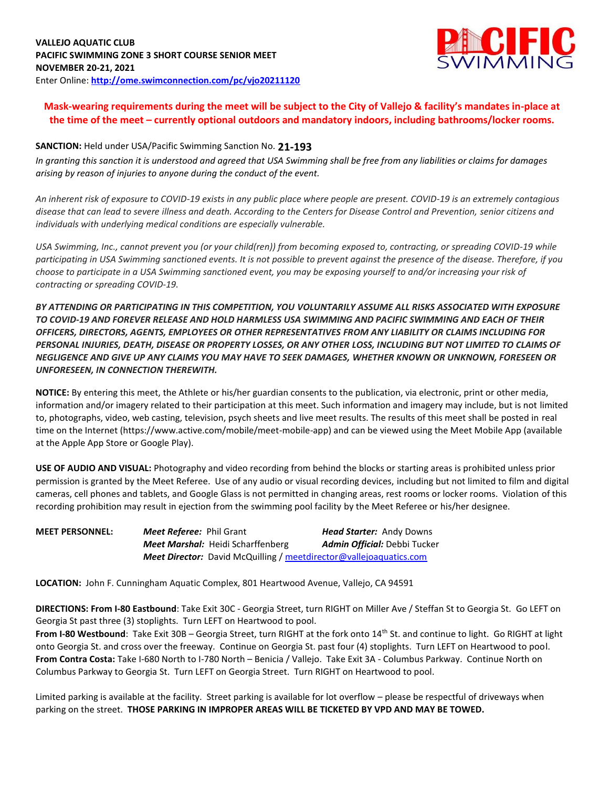

## **Mask-wearing requirements during the meet will be subject to the City of Vallejo & facility's mandates in-place at the time of the meet – currently optional outdoors and mandatory indoors, including bathrooms/locker rooms.**

## **SANCTION:** Held under USA/Pacific Swimming Sanction No. **21-193**

*In granting this sanction it is understood and agreed that USA Swimming shall be free from any liabilities or claims for damages arising by reason of injuries to anyone during the conduct of the event.* 

*An inherent risk of exposure to COVID-19 exists in any public place where people are present. COVID-19 is an extremely contagious disease that can lead to severe illness and death. According to the Centers for Disease Control and Prevention, senior citizens and individuals with underlying medical conditions are especially vulnerable.*

*USA Swimming, Inc., cannot prevent you (or your child(ren)) from becoming exposed to, contracting, or spreading COVID-19 while participating in USA Swimming sanctioned events. It is not possible to prevent against the presence of the disease. Therefore, if you choose to participate in a USA Swimming sanctioned event, you may be exposing yourself to and/or increasing your risk of contracting or spreading COVID-19.*

*BY ATTENDING OR PARTICIPATING IN THIS COMPETITION, YOU VOLUNTARILY ASSUME ALL RISKS ASSOCIATED WITH EXPOSURE TO COVID-19 AND FOREVER RELEASE AND HOLD HARMLESS USA SWIMMING AND PACIFIC SWIMMING AND EACH OF THEIR OFFICERS, DIRECTORS, AGENTS, EMPLOYEES OR OTHER REPRESENTATIVES FROM ANY LIABILITY OR CLAIMS INCLUDING FOR PERSONAL INJURIES, DEATH, DISEASE OR PROPERTY LOSSES, OR ANY OTHER LOSS, INCLUDING BUT NOT LIMITED TO CLAIMS OF NEGLIGENCE AND GIVE UP ANY CLAIMS YOU MAY HAVE TO SEEK DAMAGES, WHETHER KNOWN OR UNKNOWN, FORESEEN OR UNFORESEEN, IN CONNECTION THEREWITH.*

**NOTICE:** By entering this meet, the Athlete or his/her guardian consents to the publication, via electronic, print or other media, information and/or imagery related to their participation at this meet. Such information and imagery may include, but is not limited to, photographs, video, web casting, television, psych sheets and live meet results. The results of this meet shall be posted in real time on the Internet (https://www.active.com/mobile/meet-mobile-app) and can be viewed using the Meet Mobile App (available at the Apple App Store or Google Play).

**USE OF AUDIO AND VISUAL:** Photography and video recording from behind the blocks or starting areas is prohibited unless prior permission is granted by the Meet Referee. Use of any audio or visual recording devices, including but not limited to film and digital cameras, cell phones and tablets, and Google Glass is not permitted in changing areas, rest rooms or locker rooms. Violation of this recording prohibition may result in ejection from the swimming pool facility by the Meet Referee or his/her designee.

| <b>MEET PERSONNEL:</b> | <b>Meet Referee:</b> Phil Grant |                                                                           | <b>Head Starter:</b> Andy Downs     |
|------------------------|---------------------------------|---------------------------------------------------------------------------|-------------------------------------|
|                        |                                 | <b>Meet Marshal:</b> Heidi Scharffenberg                                  | <b>Admin Official:</b> Debbi Tucker |
|                        |                                 | <b>Meet Director:</b> David McQuilling / meetdirector@vallejoaquatics.com |                                     |

**LOCATION:** John F. Cunningham Aquatic Complex, 801 Heartwood Avenue, Vallejo, CA 94591

**DIRECTIONS: From I-80 Eastbound**: Take Exit 30C - Georgia Street, turn RIGHT on Miller Ave / Steffan St to Georgia St. Go LEFT on Georgia St past three (3) stoplights. Turn LEFT on Heartwood to pool.

From I-80 Westbound: Take Exit 30B – Georgia Street, turn RIGHT at the fork onto 14<sup>th</sup> St. and continue to light. Go RIGHT at light onto Georgia St. and cross over the freeway. Continue on Georgia St. past four (4) stoplights. Turn LEFT on Heartwood to pool. **From Contra Costa:** Take I-680 North to I-780 North – Benicia / Vallejo. Take Exit 3A - Columbus Parkway. Continue North on Columbus Parkway to Georgia St. Turn LEFT on Georgia Street. Turn RIGHT on Heartwood to pool.

Limited parking is available at the facility. Street parking is available for lot overflow – please be respectful of driveways when parking on the street. **THOSE PARKING IN IMPROPER AREAS WILL BE TICKETED BY VPD AND MAY BE TOWED.**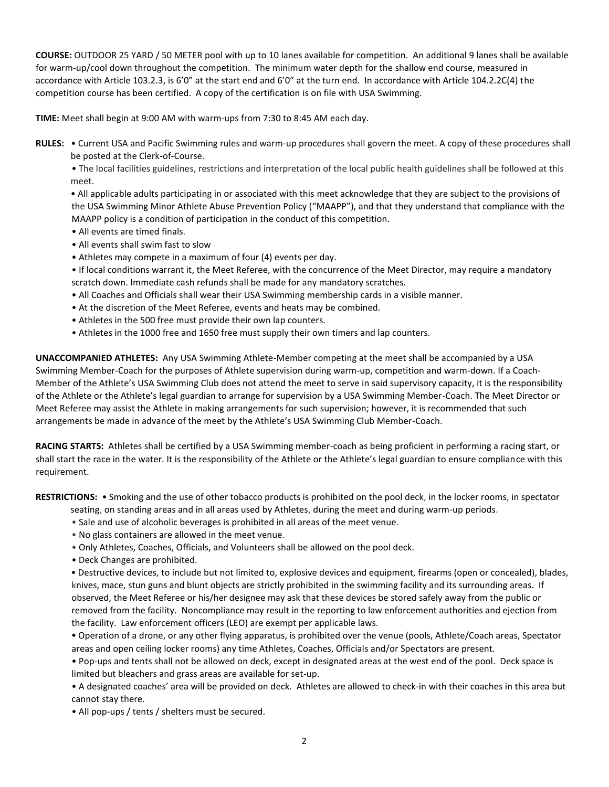**COURSE:** OUTDOOR 25 YARD / 50 METER pool with up to 10 lanes available for competition. An additional 9 lanes shall be available for warm-up/cool down throughout the competition. The minimum water depth for the shallow end course, measured in accordance with Article 103.2.3, is 6'0" at the start end and 6'0" at the turn end. In accordance with Article 104.2.2C(4) the competition course has been certified. A copy of the certification is on file with USA Swimming.

**TIME:** Meet shall begin at 9:00 AM with warm-ups from 7:30 to 8:45 AM each day.

**RULES:** • Current USA and Pacific Swimming rules and warm-up procedures shall govern the meet. A copy of these procedures shall be posted at the Clerk-of-Course.

• The local facilities guidelines, restrictions and interpretation of the local public health guidelines shall be followed at this meet.

• All applicable adults participating in or associated with this meet acknowledge that they are subject to the provisions of the USA Swimming Minor Athlete Abuse Prevention Policy ("MAAPP"), and that they understand that compliance with the MAAPP policy is a condition of participation in the conduct of this competition.

- All events are timed finals.
- All events shall swim fast to slow
- Athletes may compete in a maximum of four (4) events per day.
- If local conditions warrant it, the Meet Referee, with the concurrence of the Meet Director, may require a mandatory scratch down. Immediate cash refunds shall be made for any mandatory scratches.
- All Coaches and Officials shall wear their USA Swimming membership cards in a visible manner.
- At the discretion of the Meet Referee, events and heats may be combined.
- Athletes in the 500 free must provide their own lap counters.
- Athletes in the 1000 free and 1650 free must supply their own timers and lap counters.

**UNACCOMPANIED ATHLETES:** Any USA Swimming Athlete-Member competing at the meet shall be accompanied by a USA Swimming Member-Coach for the purposes of Athlete supervision during warm-up, competition and warm-down. If a Coach-Member of the Athlete's USA Swimming Club does not attend the meet to serve in said supervisory capacity, it is the responsibility of the Athlete or the Athlete's legal guardian to arrange for supervision by a USA Swimming Member-Coach. The Meet Director or Meet Referee may assist the Athlete in making arrangements for such supervision; however, it is recommended that such arrangements be made in advance of the meet by the Athlete's USA Swimming Club Member-Coach.

**RACING STARTS:** Athletes shall be certified by a USA Swimming member-coach as being proficient in performing a racing start, or shall start the race in the water. It is the responsibility of the Athlete or the Athlete's legal guardian to ensure compliance with this requirement.

**RESTRICTIONS:** • Smoking and the use of other tobacco products is prohibited on the pool deck, in the locker rooms, in spectator

- seating, on standing areas and in all areas used by Athletes, during the meet and during warm-up periods.
- Sale and use of alcoholic beverages is prohibited in all areas of the meet venue.
- No glass containers are allowed in the meet venue.
- Only Athletes, Coaches, Officials, and Volunteers shall be allowed on the pool deck.
- Deck Changes are prohibited.

**•** Destructive devices, to include but not limited to, explosive devices and equipment, firearms (open or concealed), blades, knives, mace, stun guns and blunt objects are strictly prohibited in the swimming facility and its surrounding areas. If observed, the Meet Referee or his/her designee may ask that these devices be stored safely away from the public or removed from the facility. Noncompliance may result in the reporting to law enforcement authorities and ejection from the facility. Law enforcement officers (LEO) are exempt per applicable laws.

**•** Operation of a drone, or any other flying apparatus, is prohibited over the venue (pools, Athlete/Coach areas, Spectator areas and open ceiling locker rooms) any time Athletes, Coaches, Officials and/or Spectators are present.

• Pop-ups and tents shall not be allowed on deck, except in designated areas at the west end of the pool. Deck space is limited but bleachers and grass areas are available for set-up.

• A designated coaches' area will be provided on deck. Athletes are allowed to check-in with their coaches in this area but cannot stay there.

• All pop-ups / tents / shelters must be secured.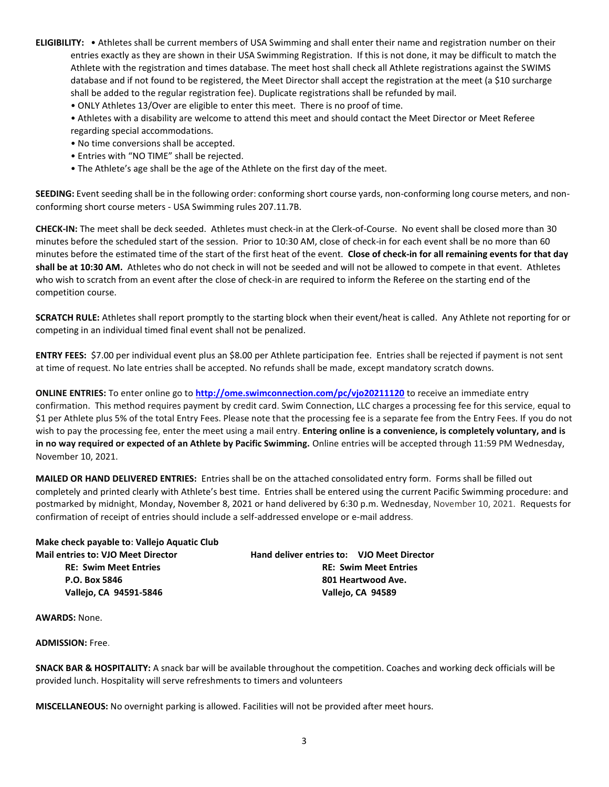- **ELIGIBILITY:**  Athletes shall be current members of USA Swimming and shall enter their name and registration number on their entries exactly as they are shown in their USA Swimming Registration. If this is not done, it may be difficult to match the Athlete with the registration and times database. The meet host shall check all Athlete registrations against the SWIMS database and if not found to be registered, the Meet Director shall accept the registration at the meet (a \$10 surcharge shall be added to the regular registration fee). Duplicate registrations shall be refunded by mail.
	- ONLY Athletes 13/Over are eligible to enter this meet. There is no proof of time.
	- Athletes with a disability are welcome to attend this meet and should contact the Meet Director or Meet Referee regarding special accommodations.
	- No time conversions shall be accepted.
	- Entries with "NO TIME" shall be rejected.
	- The Athlete's age shall be the age of the Athlete on the first day of the meet.

**SEEDING:** Event seeding shall be in the following order: conforming short course yards, non-conforming long course meters, and nonconforming short course meters - USA Swimming rules 207.11.7B.

**CHECK-IN:** The meet shall be deck seeded. Athletes must check-in at the Clerk-of-Course. No event shall be closed more than 30 minutes before the scheduled start of the session. Prior to 10:30 AM, close of check-in for each event shall be no more than 60 minutes before the estimated time of the start of the first heat of the event. **Close of check-in for all remaining events for that day shall be at 10:30 AM.** Athletes who do not check in will not be seeded and will not be allowed to compete in that event. Athletes who wish to scratch from an event after the close of check-in are required to inform the Referee on the starting end of the competition course.

**SCRATCH RULE:** Athletes shall report promptly to the starting block when their event/heat is called. Any Athlete not reporting for or competing in an individual timed final event shall not be penalized.

**ENTRY FEES:** \$7.00 per individual event plus an \$8.00 per Athlete participation fee. Entries shall be rejected if payment is not sent at time of request. No late entries shall be accepted. No refunds shall be made, except mandatory scratch downs.

**ONLINE ENTRIES:** To enter online go to **<http://ome.swimconnection.com/pc/vjo20211120>** to receive an immediate entry confirmation. This method requires payment by credit card. Swim Connection, LLC charges a processing fee for this service, equal to \$1 per Athlete plus 5% of the total Entry Fees. Please note that the processing fee is a separate fee from the Entry Fees. If you do not wish to pay the processing fee, enter the meet using a mail entry. **Entering online is a convenience, is completely voluntary, and is in no way required or expected of an Athlete by Pacific Swimming.** Online entries will be accepted through 11:59 PM Wednesday, November 10, 2021.

**MAILED OR HAND DELIVERED ENTRIES:** Entries shall be on the attached consolidated entry form. Forms shall be filled out completely and printed clearly with Athlete's best time. Entries shall be entered using the current Pacific Swimming procedure: and postmarked by midnight, Monday, November 8, 2021 or hand delivered by 6:30 p.m. Wednesday, November 10, 2021. Requests for confirmation of receipt of entries should include a self-addressed envelope or e-mail address.

| <b>NING READ IN A PROPERTY IN A PROPERTY OF A PROPERTY CHAPTER</b> |                                            |                    |  |  |  |
|--------------------------------------------------------------------|--------------------------------------------|--------------------|--|--|--|
| <b>Mail entries to: VJO Meet Director</b>                          | Hand deliver entries to: VJO Meet Director |                    |  |  |  |
| <b>RE: Swim Meet Entries</b>                                       | <b>RE: Swim Meet Entries</b>               |                    |  |  |  |
| P.O. Box 5846                                                      |                                            | 801 Heartwood Ave. |  |  |  |
| Vallejo, CA 94591-5846                                             |                                            | Vallejo, CA 94589  |  |  |  |
|                                                                    |                                            |                    |  |  |  |

**AWARDS:** None.

**Make check payable to: Vallejo Aquatic Club** 

**ADMISSION:** Free.

**SNACK BAR & HOSPITALITY:** A snack bar will be available throughout the competition. Coaches and working deck officials will be provided lunch. Hospitality will serve refreshments to timers and volunteers

**MISCELLANEOUS:** No overnight parking is allowed. Facilities will not be provided after meet hours.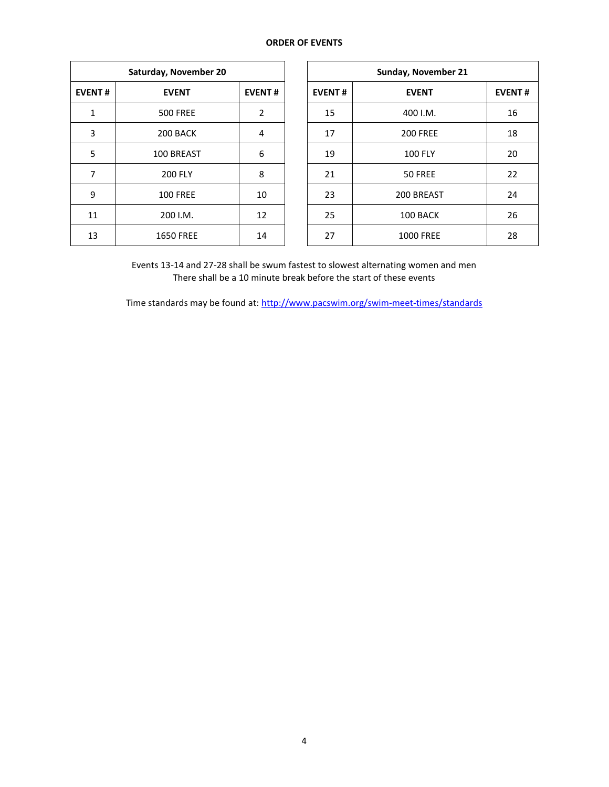## **ORDER OF EVENTS**

| Saturday, November 20 |                  |    |  |  |  |
|-----------------------|------------------|----|--|--|--|
| <b>EVENT#</b>         | <b>EVENT</b>     |    |  |  |  |
| $\mathbf{1}$          | <b>500 FREE</b>  | 2  |  |  |  |
| 3                     | 200 BACK         | 4  |  |  |  |
| 5                     | 100 BREAST       | 6  |  |  |  |
| 7                     | <b>200 FLY</b>   | 8  |  |  |  |
| 9                     | <b>100 FREE</b>  | 10 |  |  |  |
| 11                    | 200 I.M.         | 12 |  |  |  |
| 13                    | <b>1650 FREE</b> | 14 |  |  |  |

| Saturday, November 20 |                  |               |               | Sunday, November 21 |               |  |  |
|-----------------------|------------------|---------------|---------------|---------------------|---------------|--|--|
| <b>EVENT#</b>         | <b>EVENT</b>     | <b>EVENT#</b> | <b>EVENT#</b> | <b>EVENT</b>        | <b>EVENT#</b> |  |  |
| 1                     | <b>500 FREE</b>  | 2             | 15            | 400 I.M.            | 16            |  |  |
| 3                     | 200 BACK         | 4             | 17            | <b>200 FREE</b>     | 18            |  |  |
| 5                     | 100 BREAST       | 6             | 19            | <b>100 FLY</b>      | 20            |  |  |
| 7                     | <b>200 FLY</b>   | 8             | 21            | 50 FREE             | 22            |  |  |
| 9                     | <b>100 FREE</b>  | 10            | 23            | 200 BREAST          | 24            |  |  |
| 11                    | 200 I.M.         | 12            | 25            | 100 BACK            | 26            |  |  |
| 13                    | <b>1650 FREE</b> | 14            | 27            | <b>1000 FREE</b>    | 28            |  |  |

Events 13-14 and 27-28 shall be swum fastest to slowest alternating women and men There shall be a 10 minute break before the start of these events

Time standards may be found at:<http://www.pacswim.org/swim-meet-times/standards>